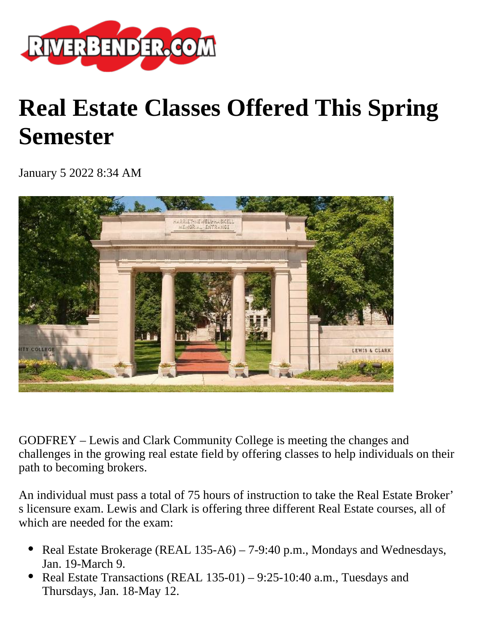

## **Real Estate Classes Offered This Spring Semester**

January 5 2022 8:34 AM



GODFREY – Lewis and Clark Community College is meeting the changes and challenges in the growing real estate field by offering classes to help individuals on their path to becoming brokers.

An individual must pass a total of 75 hours of instruction to take the Real Estate Broker' s licensure exam. Lewis and Clark is offering three different Real Estate courses, all of which are needed for the exam:

- Real Estate Brokerage (REAL 135-A6) 7-9:40 p.m., Mondays and Wednesdays, Jan. 19-March 9.
- Real Estate Transactions (REAL 135-01) 9:25-10:40 a.m., Tuesdays and Thursdays, Jan. 18-May 12.